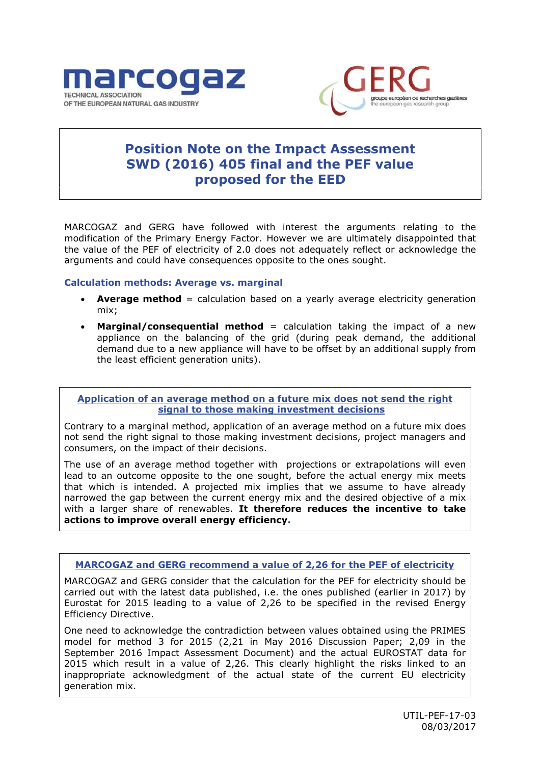



# **Position Note on the Impact Assessment SWD (2016) 405 final and the PEF value proposed for the EED**

MARCOGAZ and GERG have followed with interest the arguments relating to the modification of the Primary Energy Factor. However we are ultimately disappointed that the value of the PEF of electricity of 2.0 does not adequately reflect or acknowledge the arguments and could have consequences opposite to the ones sought.

#### **Calculation methods: Average vs. marginal**

- **Average method** = calculation based on a yearly average electricity generation mix;
- **Marginal/consequential method** = calculation taking the impact of a new appliance on the balancing of the grid (during peak demand, the additional demand due to a new appliance will have to be offset by an additional supply from the least efficient generation units).

**Application of an average method on a future mix does not send the right signal to those making investment decisions**

Contrary to a marginal method, application of an average method on a future mix does not send the right signal to those making investment decisions, project managers and consumers, on the impact of their decisions.

The use of an average method together with projections or extrapolations will even lead to an outcome opposite to the one sought, before the actual energy mix meets that which is intended. A projected mix implies that we assume to have already narrowed the gap between the current energy mix and the desired objective of a mix with a larger share of renewables. **It therefore reduces the incentive to take actions to improve overall energy efficiency.**

### **MARCOGAZ and GERG recommend a value of 2,26 for the PEF of electricity**

MARCOGAZ and GERG consider that the calculation for the PEF for electricity should be carried out with the latest data published, i.e. the ones published (earlier in 2017) by Eurostat for 2015 leading to a value of 2,26 to be specified in the revised Energy Efficiency Directive.

One need to acknowledge the contradiction between values obtained using the PRIMES model for method 3 for 2015 (2,21 in May 2016 Discussion Paper; 2,09 in the September 2016 Impact Assessment Document) and the actual EUROSTAT data for 2015 which result in a value of 2,26. This clearly highlight the risks linked to an inappropriate acknowledgment of the actual state of the current EU electricity generation mix.